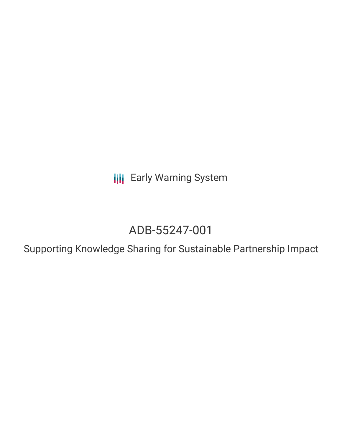**III** Early Warning System

# ADB-55247-001

Supporting Knowledge Sharing for Sustainable Partnership Impact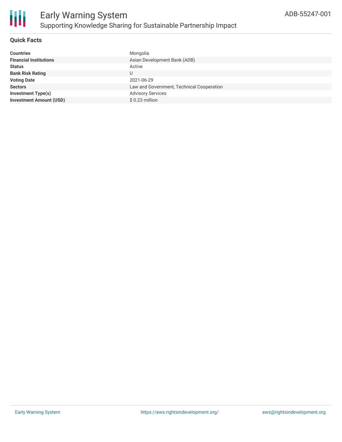

### **Quick Facts**

| <b>Countries</b>               | Mongolia                                  |
|--------------------------------|-------------------------------------------|
| <b>Financial Institutions</b>  | Asian Development Bank (ADB)              |
| <b>Status</b>                  | Active                                    |
| <b>Bank Risk Rating</b>        | U                                         |
| <b>Voting Date</b>             | 2021-06-29                                |
| <b>Sectors</b>                 | Law and Government, Technical Cooperation |
| <b>Investment Type(s)</b>      | <b>Advisory Services</b>                  |
| <b>Investment Amount (USD)</b> | $$0.23$ million                           |
|                                |                                           |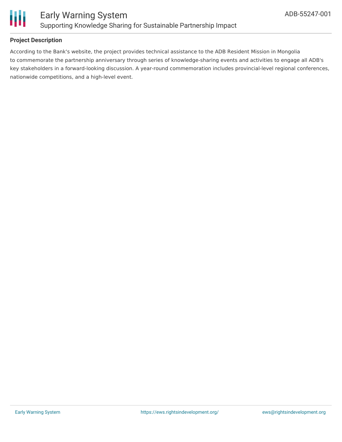

### **Project Description**

According to the Bank's website, the project provides technical assistance to the ADB Resident Mission in Mongolia to commemorate the partnership anniversary through series of knowledge-sharing events and activities to engage all ADB's key stakeholders in a forward-looking discussion. A year-round commemoration includes provincial-level regional conferences, nationwide competitions, and a high-level event.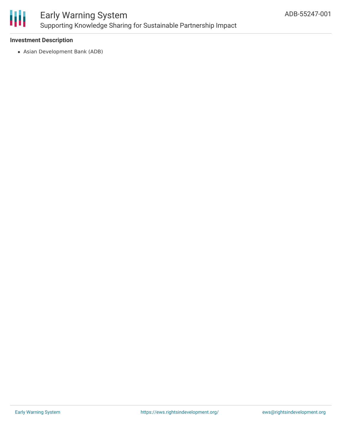

## Early Warning System Supporting Knowledge Sharing for Sustainable Partnership Impact

#### **Investment Description**

Asian Development Bank (ADB)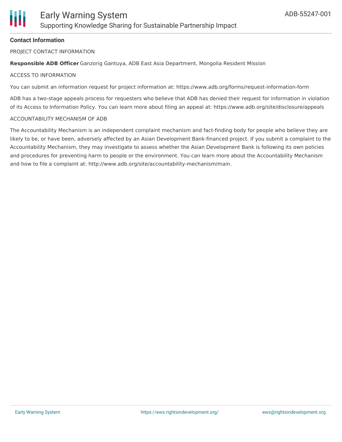#### **Contact Information**

PROJECT CONTACT INFORMATION

**Responsible ADB Officer** Ganzorig Gantuya, ADB East Asia Department, Mongolia Resident Mission

#### ACCESS TO INFORMATION

You can submit an information request for project information at: https://www.adb.org/forms/request-information-form

ADB has a two-stage appeals process for requesters who believe that ADB has denied their request for information in violation of its Access to Information Policy. You can learn more about filing an appeal at: https://www.adb.org/site/disclosure/appeals

#### ACCOUNTABILITY MECHANISM OF ADB

The Accountability Mechanism is an independent complaint mechanism and fact-finding body for people who believe they are likely to be, or have been, adversely affected by an Asian Development Bank-financed project. If you submit a complaint to the Accountability Mechanism, they may investigate to assess whether the Asian Development Bank is following its own policies and procedures for preventing harm to people or the environment. You can learn more about the Accountability Mechanism and how to file a complaint at: http://www.adb.org/site/accountability-mechanism/main.